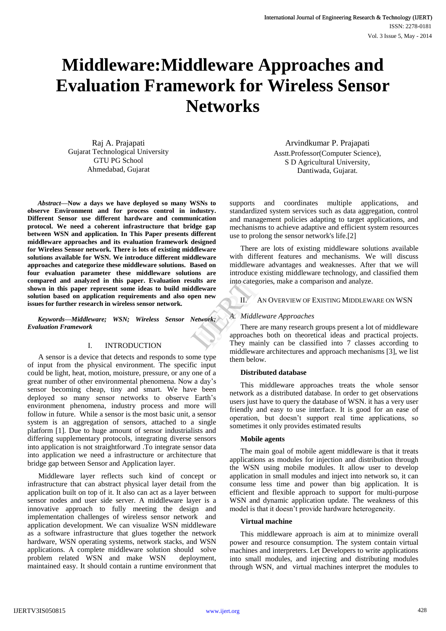# **Middleware:Middleware Approaches and Evaluation Framework for Wireless Sensor Networks**

Raj A. Prajapati Gujarat Technological University GTU PG School Ahmedabad, Gujarat

*Abstract***—Now a days we have deployed so many WSNs to observe Environment and for process control in industry. Different Sensor use different hardware and communication protocol. We need a coherent infrastructure that bridge gap between WSN and application. In This Paper presents different middleware approaches and its evaluation framework designed for Wireless Sensor network. There is lots of existing middleware solutions available for WSN. We introduce different middleware approaches and categorize these middleware solutions. Based on four evaluation parameter these middleware solutions are compared and analyzed in this paper. Evaluation results are shown in this paper represent some ideas to build middleware solution based on application requirements and also open new issues for further research in wireless sensor network.**

*Keywords—Middleware; WSN; Wireless Sensor Network; Evaluation Framework*

#### I. INTRODUCTION

A sensor is a device that detects and responds to some type of input from the physical environment. The specific input could be light, heat, motion, moisture, pressure, or any one of a great number of other environmental phenomena. Now a day's sensor becoming cheap, tiny and smart. We have been deployed so many sensor networks to observe Earth's environment phenomena, industry process and more will follow in future. While a sensor is the most basic unit, a sensor system is an aggregation of sensors, attached to a single platform [1]. Due to huge amount of sensor industrialists and differing supplementary protocols, integrating diverse sensors into application is not straightforward .To integrate sensor data into application we need a infrastructure or architecture that bridge gap between Sensor and Application layer.

Middleware layer reflects such kind of concept or infrastructure that can abstract physical layer detail from the application built on top of it. It also can act as a layer between sensor nodes and user side server. A middleware layer is a innovative approach to fully meeting the design and implementation challenges of wireless sensor network and application development. We can visualize WSN middleware as a software infrastructure that glues together the network hardware, WSN operating systems, network stacks, and WSN applications. A complete middleware solution should solve problem related WSN and make WSN deployment, maintained easy. It should contain a runtime environment that

Arvindkumar P. Prajapati Asstt.Professor(Computer Science), S D Agricultural University, Dantiwada, Gujarat.

supports and coordinates multiple applications, and standardized system services such as data aggregation, control and management policies adapting to target applications, and mechanisms to achieve adaptive and efficient system resources use to prolong the sensor network's life.[2]

There are lots of existing middleware solutions available with different features and mechanisms. We will discuss middleware advantages and weaknesses. After that we will introduce existing middleware technology, and classified them into categories, make a comparison and analyze.

II. AN OVERVIEW OF EXISTING MIDDLEWARE ON WSN

#### *A. Middleware Approaches*

There are many research groups present a lot of middleware approaches both on theoretical ideas and practical projects. They mainly can be classified into 7 classes according to middleware architectures and approach mechanisms [3], we list them below. Its are into categorie<br>
II. AN<br>
II. AN<br>
II. AN<br>
Interesting the mainly<br>
They mainly

#### **Distributed database**

This middleware approaches treats the whole sensor network as a distributed database. In order to get observations users just have to query the database of WSN. it has a very user friendly and easy to use interface. It is good for an ease of operation, but doesn't support real time applications, so sometimes it only provides estimated results

#### **Mobile agents**

The main goal of mobile agent middleware is that it treats applications as modules for injection and distribution through the WSN using mobile modules. It allow user to develop application in small modules and inject into network so, it can consume less time and power than big application. It is efficient and flexible approach to support for multi-purpose WSN and dynamic application update. The weakness of this model is that it doesn't provide hardware heterogeneity.

### **Virtual machine**

This middleware approach is aim at to minimize overall power and resource consumption. The system contain virtual machines and interpreters. Let Developers to write applications into small modules, and injecting and distributing modules through WSN, and virtual machines interpret the modules to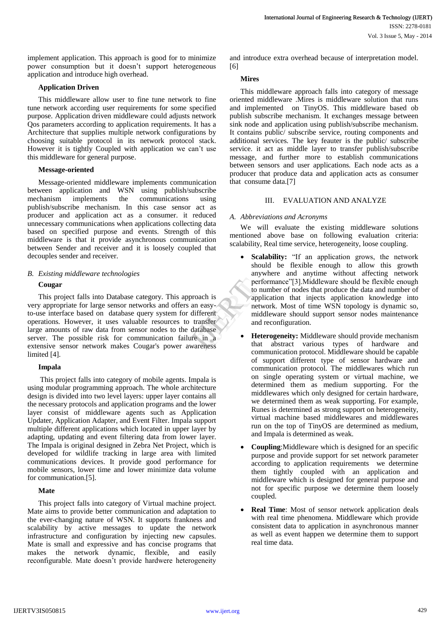implement application. This approach is good for to minimize power consumption but it doesn't support heterogeneous application and introduce high overhead.

#### **Application Driven**

This middleware allow user to fine tune network to fine tune network according user requirements for some specified purpose. Application driven middleware could adjusts network Qos parameters according to application requirements. It has a Architecture that supplies multiple network configurations by choosing suitable protocol in its network protocol stack. However it is tightly Coupled with application we can't use this middleware for general purpose.

#### **Message-oriented**

Message-oriented middleware implements communication between application and WSN using publish/subscribe mechanism implements the communications using publish/subscribe mechanism. In this case sensor act as producer and application act as a consumer. it reduced unnecessary communications when applications collecting data based on specified purpose and events. Strength of this middleware is that it provide asynchronous communication between Sender and receiver and it is loosely coupled that decouples sender and receiver.

## *B. Existing middleware technologies*

## **Cougar**

This project falls into Database category. This approach is very appropriate for large sensor networks and offers an easyto-use interface based on database query system for different operations. However, it uses valuable resources to transfer large amounts of raw data from sensor nodes to the database server. The possible risk for communication failure in a extensive sensor network makes Cougar's power awareness limited [4].

## **Impala**

This project falls into category of mobile agents. Impala is using modular programming approach. The whole architecture design is divided into two level layers: upper layer contains all the necessary protocols and application programs and the lower layer consist of middleware agents such as Application Updater, Application Adapter, and Event Filter. Impala support multiple different applications which located in upper layer by adapting, updating and event filtering data from lower layer. The Impala is original designed in Zebra Net Project, which is developed for wildlife tracking in large area with limited communications devices. It provide good performance for mobile sensors, lower time and lower minimize data volume for communication.[5].

## **Mate**

This project falls into category of Virtual machine project. Mate aims to provide better communication and adaptation to the ever-changing nature of WSN. It supports frankness and scalability by active messages to update the network infrastructure and configuration by injecting new capsules. Mate is small and expressive and has concise programs that makes the network dynamic, flexible, and easily reconfigurable. Mate doesn't provide hardwere heterogeneity

and introduce extra overhead because of interpretation model. [6]

## **Mires**

This middleware approach falls into category of message oriented middleware .Mires is middleware solution that runs and implemented on TinyOS. This middleware based ob publish subscribe mechanism. It exchanges message between sink node and application using publish/subscribe mechanism. It contains public/ subscribe service, routing components and additional services. The key feauter is the public/ subscribe service. it act as middle layer to transfer publish/subscribe message, and further more to establish communications between sensors and user applications. Each node acts as a producer that produce data and application acts as consumer that consume data.[7]

## III. EVALUATION AND ANALYZE

## *A. Abbreviations and Acronyms*

We will evaluate the existing middleware solutions mentioned above base on following evaluation criteria: scalability, Real time service, heterogeneity, loose coupling.

- **Scalability:** "If an application grows, the network should be flexible enough to allow this growth anywhere and anytime without affecting network performance"[3].Middleware should be flexible enough to number of nodes that produce the data and number of application that injects application knowledge into network. Most of time WSN topology is dynamic so, middleware should support sensor nodes maintenance and reconfiguration. Performation and is a performation of the performation of the state of the performation of the performation of the performation of the performation of the performation of the performation of the performation of the perform
	- **Heterogeneity:** Middleware should provide mechanism that abstract various types of hardware and communication protocol. Middleware should be capable of support different type of sensor hardware and communication protocol. The middlewares which run on single operating system or virtual machine, we determined them as medium supporting. For the middlewares which only designed for certain hardware, we determined them as weak supporting. For example, Runes is determined as strong support on heterogeneity, virtual machine based middlewares and middlewares run on the top of TinyOS are determined as medium, and Impala is determined as weak.
	- **Coupling**:Middleware which is designed for an specific purpose and provide support for set network parameter according to application requirements we determine them tightly coupled with an application and middleware which is designed for general purpose and not for specific purpose we determine them loosely coupled.
	- **Real Time**: Most of sensor network application deals with real time phenomena. Middleware which provide consistent data to application in asynchronous manner as well as event happen we determine them to support real time data.